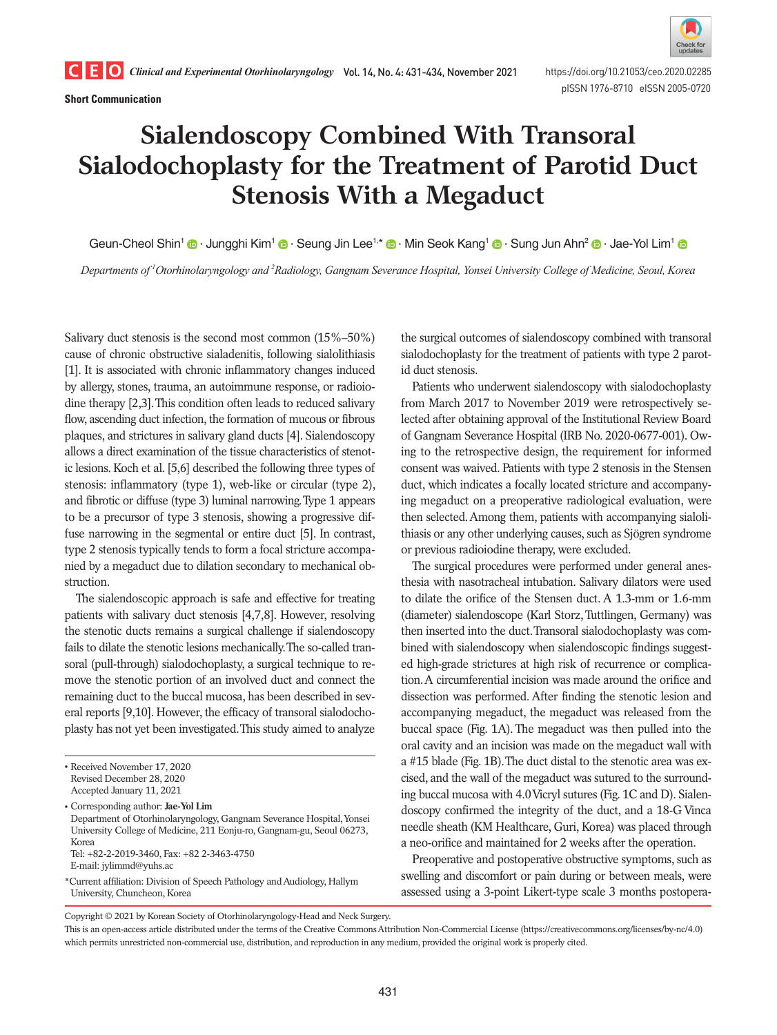**Short Communication**



pISSN 1976-8710 eISSN 2005-0720

# **Sialendoscopy Combined With Transoral Sialodochoplasty for the Treatment of Parotid Duct Stenosis With a Megaduct**

Geun-Cheol Shin<sup>1</sup> <sup>1</sup> Jungghi Kim<sup>1</sup> <sup>1</sup> [·](https://orcid.org/0000-0003-0075-2432) Seung Jin Lee<sup>1,\*</sup> <sup>1</sup> · Min Seok Kang<sup>1</sup> <sup>1</sup> · Sung Jun Ahn<sup>2</sup> <sup>1</sup> · Jae-Yol Lim<sup>1</sup>

*Departments of 1 Otorhinolaryngology and 2 Radiology, Gangnam Severance Hospital, Yonsei University College of Medicine, Seoul, Korea*

Salivary duct stenosis is the second most common (15%–50%) cause of chronic obstructive sialadenitis, following sialolithiasis [1]. It is associated with chronic inflammatory changes induced by allergy, stones, trauma, an autoimmune response, or radioiodine therapy [2,3]. This condition often leads to reduced salivary flow, ascending duct infection, the formation of mucous or fibrous plaques, and strictures in salivary gland ducts [4]. Sialendoscopy allows a direct examination of the tissue characteristics of stenotic lesions. Koch et al. [5,6] described the following three types of stenosis: inflammatory (type 1), web-like or circular (type 2), and fibrotic or diffuse (type 3) luminal narrowing. Type 1 appears to be a precursor of type 3 stenosis, showing a progressive diffuse narrowing in the segmental or entire duct [5]. In contrast, type 2 stenosis typically tends to form a focal stricture accompanied by a megaduct due to dilation secondary to mechanical obstruction.

The sialendoscopic approach is safe and effective for treating patients with salivary duct stenosis [4,7,8]. However, resolving the stenotic ducts remains a surgical challenge if sialendoscopy fails to dilate the stenotic lesions mechanically. The so-called transoral (pull-through) sialodochoplasty, a surgical technique to remove the stenotic portion of an involved duct and connect the remaining duct to the buccal mucosa, has been described in several reports [9,10]. However, the efficacy of transoral sialodochoplasty has not yet been investigated. This study aimed to analyze

\*Current affiliation: Division of Speech Pathology and Audiology, Hallym University, Chuncheon, Korea

the surgical outcomes of sialendoscopy combined with transoral sialodochoplasty for the treatment of patients with type 2 parotid duct stenosis.

Patients who underwent sialendoscopy with sialodochoplasty from March 2017 to November 2019 were retrospectively selected after obtaining approval of the Institutional Review Board of Gangnam Severance Hospital (IRB No. 2020-0677-001). Owing to the retrospective design, the requirement for informed consent was waived. Patients with type 2 stenosis in the Stensen duct, which indicates a focally located stricture and accompanying megaduct on a preoperative radiological evaluation, were then selected. Among them, patients with accompanying sialolithiasis or any other underlying causes, such as Sjögren syndrome or previous radioiodine therapy, were excluded.

The surgical procedures were performed under general anesthesia with nasotracheal intubation. Salivary dilators were used to dilate the orifice of the Stensen duct. A 1.3-mm or 1.6-mm (diameter) sialendoscope (Karl Storz, Tuttlingen, Germany) was then inserted into the duct. Transoral sialodochoplasty was combined with sialendoscopy when sialendoscopic findings suggested high-grade strictures at high risk of recurrence or complication. A circumferential incision was made around the orifice and dissection was performed. After finding the stenotic lesion and accompanying megaduct, the megaduct was released from the buccal space (Fig. 1A). The megaduct was then pulled into the oral cavity and an incision was made on the megaduct wall with a #15 blade (Fig. 1B). The duct distal to the stenotic area was excised, and the wall of the megaduct was sutured to the surrounding buccal mucosa with 4.0 Vicryl sutures (Fig. 1C and D). Sialendoscopy confirmed the integrity of the duct, and a 18-G Vinca needle sheath (KM Healthcare, Guri, Korea) was placed through a neo-orifice and maintained for 2 weeks after the operation.

Preoperative and postoperative obstructive symptoms, such as swelling and discomfort or pain during or between meals, were assessed using a 3-point Likert-type scale 3 months postopera-

Copyright © 2021 by Korean Society of Otorhinolaryngology-Head and Neck Surgery.

<sup>•</sup> Received November 17, 2020 Revised December 28, 2020 Accepted January 11, 2021

<sup>•</sup> Corresponding author: **Jae-Yol Lim** Department of Otorhinolaryngology, Gangnam Severance Hospital, Yonsei University College of Medicine, 211 Eonju-ro, Gangnam-gu, Seoul 06273, Korea Tel: +82-2-2019-3460, Fax: +82 2-3463-4750

E-mail: jylimmd@yuhs.ac

This is an open-access article distributed under the terms of the Creative Commons Attribution Non-Commercial License (https://creativecommons.org/licenses/by-nc/4.0) which permits unrestricted non-commercial use, distribution, and reproduction in any medium, provided the original work is properly cited.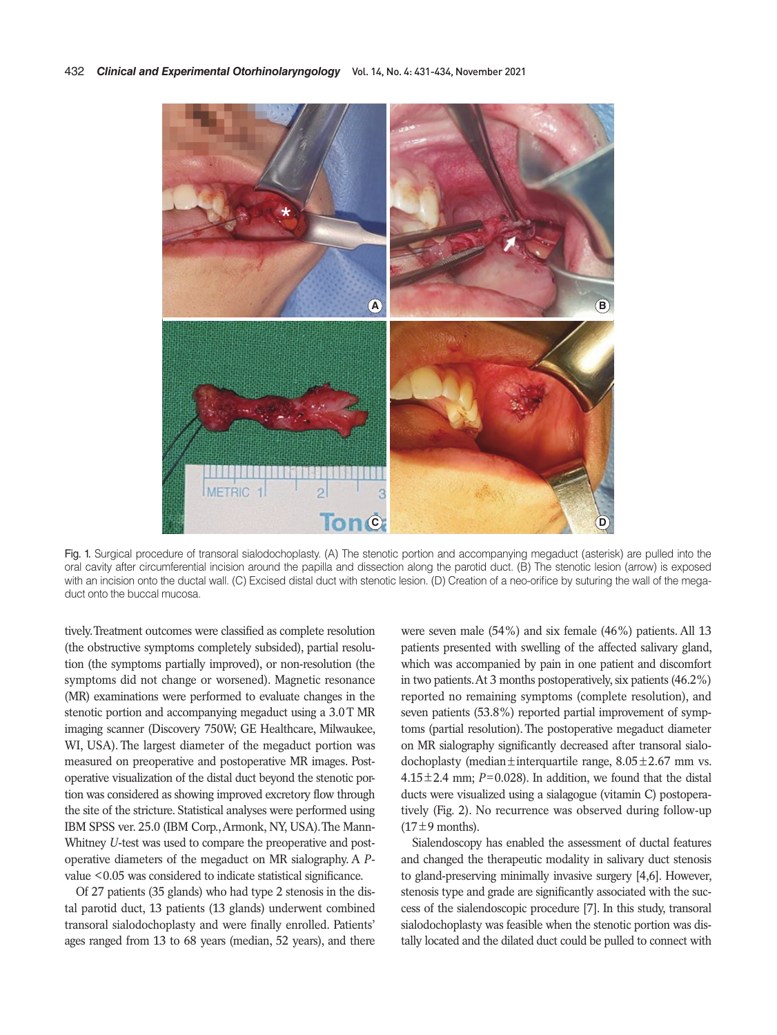

Fig. 1. Surgical procedure of transoral sialodochoplasty. (A) The stenotic portion and accompanying megaduct (asterisk) are pulled into the oral cavity after circumferential incision around the papilla and dissection along the parotid duct. (B) The stenotic lesion (arrow) is exposed with an incision onto the ductal wall. (C) Excised distal duct with stenotic lesion. (D) Creation of a neo-orifice by suturing the wall of the megaduct onto the buccal mucosa.

tively. Treatment outcomes were classified as complete resolution (the obstructive symptoms completely subsided), partial resolution (the symptoms partially improved), or non-resolution (the symptoms did not change or worsened). Magnetic resonance (MR) examinations were performed to evaluate changes in the stenotic portion and accompanying megaduct using a 3.0 T MR imaging scanner (Discovery 750W; GE Healthcare, Milwaukee, WI, USA). The largest diameter of the megaduct portion was measured on preoperative and postoperative MR images. Postoperative visualization of the distal duct beyond the stenotic portion was considered as showing improved excretory flow through the site of the stricture. Statistical analyses were performed using IBM SPSS ver. 25.0 (IBM Corp., Armonk, NY, USA). The Mann-Whitney *U*-test was used to compare the preoperative and postoperative diameters of the megaduct on MR sialography. A *P*value <0.05 was considered to indicate statistical significance.

Of 27 patients (35 glands) who had type 2 stenosis in the distal parotid duct, 13 patients (13 glands) underwent combined transoral sialodochoplasty and were finally enrolled. Patients' ages ranged from 13 to 68 years (median, 52 years), and there were seven male (54%) and six female (46%) patients. All 13 patients presented with swelling of the affected salivary gland, which was accompanied by pain in one patient and discomfort in two patients. At 3 months postoperatively, six patients (46.2%) reported no remaining symptoms (complete resolution), and seven patients (53.8%) reported partial improvement of symptoms (partial resolution). The postoperative megaduct diameter on MR sialography significantly decreased after transoral sialodochoplasty (median $\pm$ interquartile range, 8.05 $\pm$ 2.67 mm vs. 4.15 $\pm$ 2.4 mm; *P*=0.028). In addition, we found that the distal ducts were visualized using a sialagogue (vitamin C) postoperatively (Fig. 2). No recurrence was observed during follow-up  $(17\pm9$  months).

Sialendoscopy has enabled the assessment of ductal features and changed the therapeutic modality in salivary duct stenosis to gland-preserving minimally invasive surgery [4,6]. However, stenosis type and grade are significantly associated with the success of the sialendoscopic procedure [7]. In this study, transoral sialodochoplasty was feasible when the stenotic portion was distally located and the dilated duct could be pulled to connect with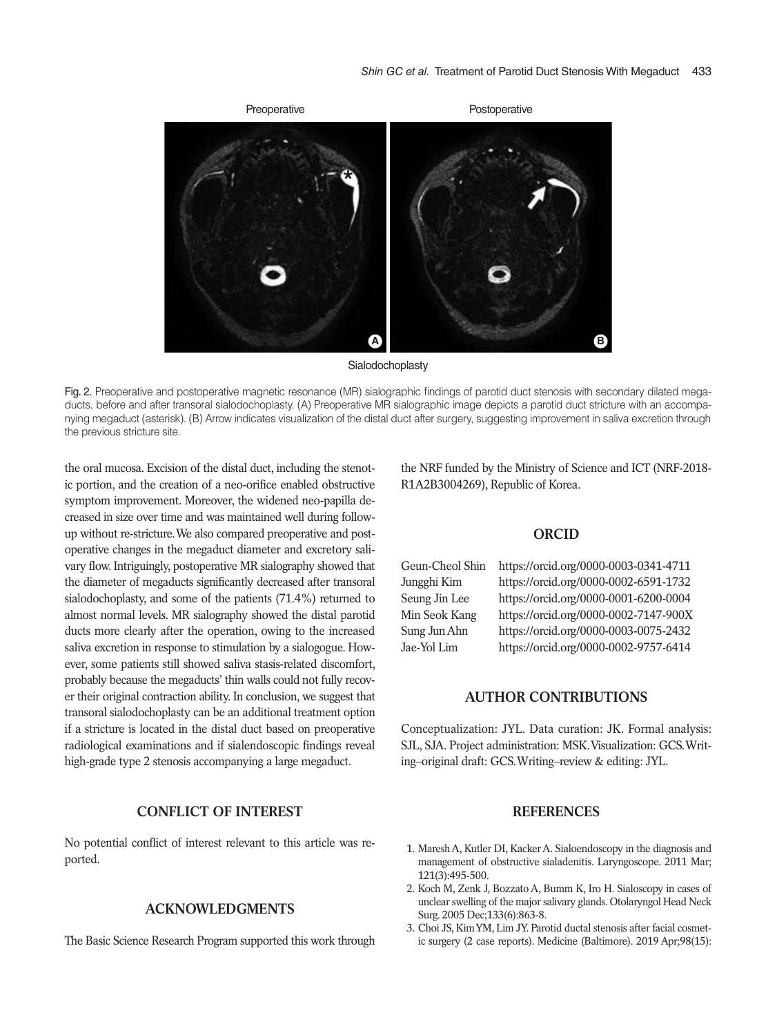

Sialodochoplasty

Fig. 2. Preoperative and postoperative magnetic resonance (MR) sialographic findings of parotid duct stenosis with secondary dilated megaducts, before and after transoral sialodochoplasty. (A) Preoperative MR sialographic image depicts a parotid duct stricture with an accompanying megaduct (asterisk). (B) Arrow indicates visualization of the distal duct after surgery, suggesting improvement in saliva excretion through the previous stricture site.

the oral mucosa. Excision of the distal duct, including the stenotic portion, and the creation of a neo-orifice enabled obstructive symptom improvement. Moreover, the widened neo-papilla decreased in size over time and was maintained well during followup without re-stricture. We also compared preoperative and postoperative changes in the megaduct diameter and excretory salivary flow. Intriguingly, postoperative MR sialography showed that the diameter of megaducts significantly decreased after transoral sialodochoplasty, and some of the patients (71.4%) returned to almost normal levels. MR sialography showed the distal parotid ducts more clearly after the operation, owing to the increased saliva excretion in response to stimulation by a sialogogue. However, some patients still showed saliva stasis-related discomfort, probably because the megaducts' thin walls could not fully recover their original contraction ability. In conclusion, we suggest that transoral sialodochoplasty can be an additional treatment option if a stricture is located in the distal duct based on preoperative radiological examinations and if sialendoscopic findings reveal high-grade type 2 stenosis accompanying a large megaduct.

#### **CONFLICT OF INTEREST**

No potential conflict of interest relevant to this article was reported.

## **ACKNOWLEDGMENTS**

The Basic Science Research Program supported this work through

the NRF funded by the Ministry of Science and ICT (NRF-2018- R1A2B3004269), Republic of Korea.

### **ORCID**

Geun-Cheol Shin https://orcid.org/0000-0003-0341-4711 Jungghi Kim https://orcid.org/0000-0002-6591-1732 Seung Jin Lee https://orcid.org/0000-0001-6200-0004 Min Seok Kang https://orcid.org/0000-0002-7147-900X Sung Jun Ahn https://orcid.org/0000-0003-0075-2432 Jae-Yol Lim https://orcid.org/0000-0002-9757-6414

### **AUTHOR CONTRIBUTIONS**

Conceptualization: JYL. Data curation: JK. Formal analysis: SJL, SJA. Project administration: MSK. Visualization: GCS. Writing–original draft: GCS. Writing–review & editing: JYL.

## **REFERENCES**

- 1. Maresh A, Kutler DI, Kacker A. Sialoendoscopy in the diagnosis and management of obstructive sialadenitis. Laryngoscope. 2011 Mar; 121(3):495-500.
- 2. Koch M, Zenk J, Bozzato A, Bumm K, Iro H. Sialoscopy in cases of unclear swelling of the major salivary glands. Otolaryngol Head Neck Surg. 2005 Dec;133(6):863-8.
- 3. Choi JS, Kim YM, Lim JY. Parotid ductal stenosis after facial cosmetic surgery (2 case reports). Medicine (Baltimore). 2019 Apr;98(15):